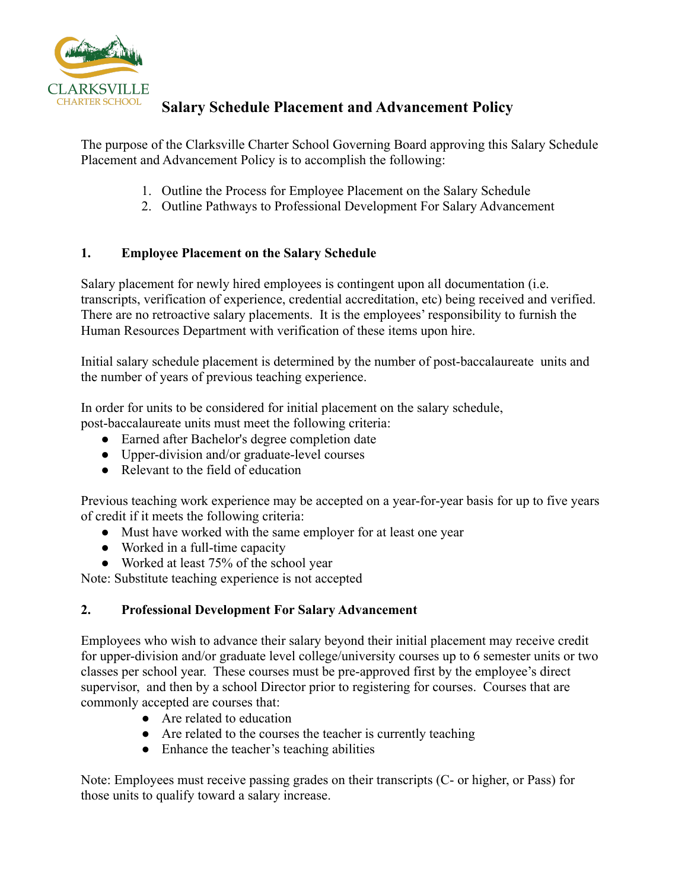

## **Salary Schedule Placement and Advancement Policy**

The purpose of the Clarksville Charter School Governing Board approving this Salary Schedule Placement and Advancement Policy is to accomplish the following:

- 1. Outline the Process for Employee Placement on the Salary Schedule
- 2. Outline Pathways to Professional Development For Salary Advancement

## **1. Employee Placement on the Salary Schedule**

Salary placement for newly hired employees is contingent upon all documentation (i.e. transcripts, verification of experience, credential accreditation, etc) being received and verified. There are no retroactive salary placements. It is the employees' responsibility to furnish the Human Resources Department with verification of these items upon hire.

Initial salary schedule placement is determined by the number of post-baccalaureate units and the number of years of previous teaching experience.

In order for units to be considered for initial placement on the salary schedule, post-baccalaureate units must meet the following criteria:

- Earned after Bachelor's degree completion date
- Upper-division and/or graduate-level courses
- Relevant to the field of education

Previous teaching work experience may be accepted on a year-for-year basis for up to five years of credit if it meets the following criteria:

- Must have worked with the same employer for at least one year
- Worked in a full-time capacity
- Worked at least 75% of the school year

Note: Substitute teaching experience is not accepted

## **2. Professional Development For Salary Advancement**

Employees who wish to advance their salary beyond their initial placement may receive credit for upper-division and/or graduate level college/university courses up to 6 semester units or two classes per school year. These courses must be pre-approved first by the employee's direct supervisor, and then by a school Director prior to registering for courses. Courses that are commonly accepted are courses that:

- Are related to education
- Are related to the courses the teacher is currently teaching
- Enhance the teacher's teaching abilities

Note: Employees must receive passing grades on their transcripts (C- or higher, or Pass) for those units to qualify toward a salary increase.